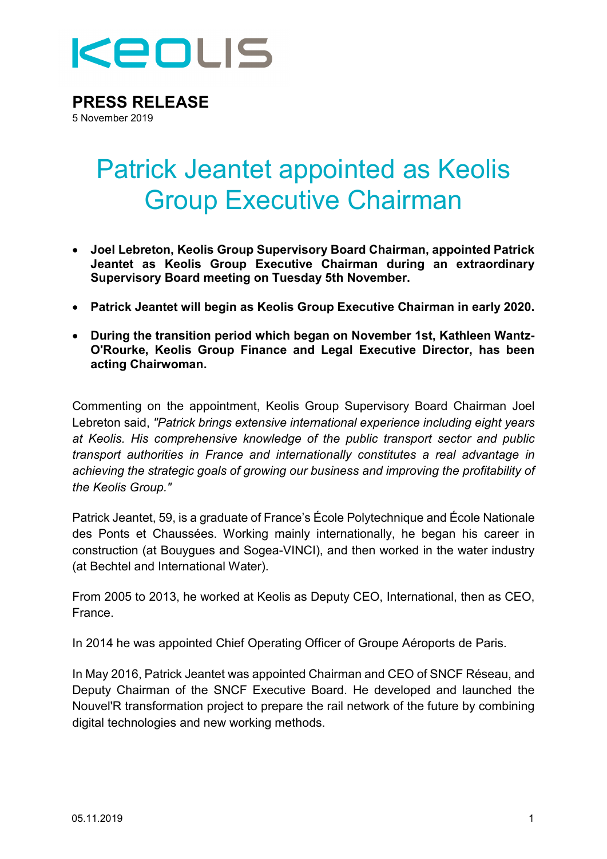

**PRESS RELEASE** 5 November 2019

## Patrick Jeantet appointed as Keolis Group Executive Chairman

- **Joel Lebreton, Keolis Group Supervisory Board Chairman, appointed Patrick Jeantet as Keolis Group Executive Chairman during an extraordinary Supervisory Board meeting on Tuesday 5th November.**
- **Patrick Jeantet will begin as Keolis Group Executive Chairman in early 2020.**
- **During the transition period which began on November 1st, Kathleen Wantz-O'Rourke, Keolis Group Finance and Legal Executive Director, has been acting Chairwoman.**

Commenting on the appointment, Keolis Group Supervisory Board Chairman Joel Lebreton said, *"Patrick brings extensive international experience including eight years at Keolis. His comprehensive knowledge of the public transport sector and public transport authorities in France and internationally constitutes a real advantage in achieving the strategic goals of growing our business and improving the profitability of the Keolis Group."* 

Patrick Jeantet, 59, is a graduate of France's École Polytechnique and École Nationale des Ponts et Chaussées. Working mainly internationally, he began his career in construction (at Bouygues and Sogea-VINCI), and then worked in the water industry (at Bechtel and International Water).

From 2005 to 2013, he worked at Keolis as Deputy CEO, International, then as CEO, France.

In 2014 he was appointed Chief Operating Officer of Groupe Aéroports de Paris.

In May 2016, Patrick Jeantet was appointed Chairman and CEO of SNCF Réseau, and Deputy Chairman of the SNCF Executive Board. He developed and launched the Nouvel'R transformation project to prepare the rail network of the future by combining digital technologies and new working methods.